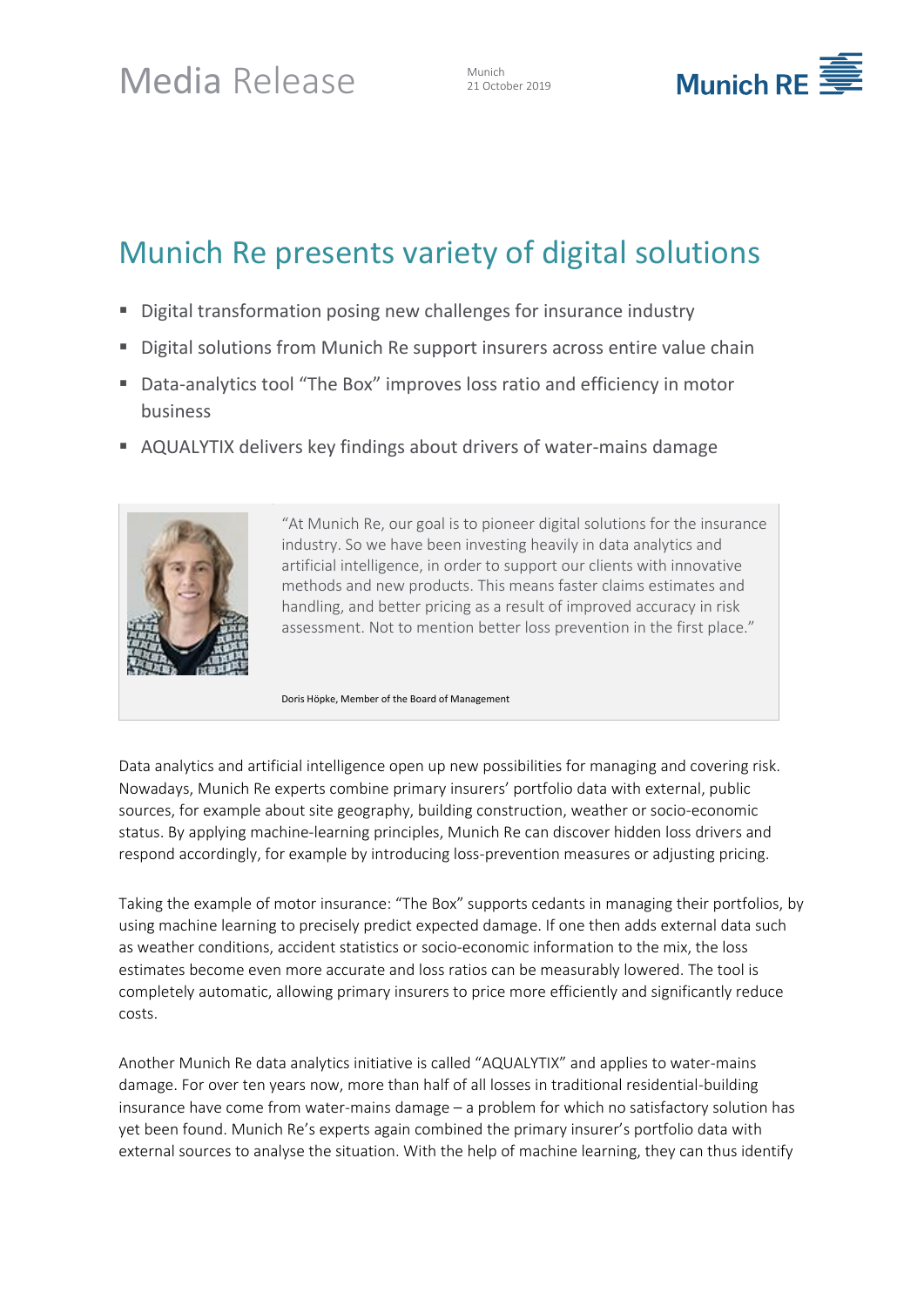# Media Release Munich

21 October 2019



# Munich Re presents variety of digital solutions

- Digital transformation posing new challenges for insurance industry
- Digital solutions from Munich Re support insurers across entire value chain
- Data-analytics tool "The Box" improves loss ratio and efficiency in motor business
- AQUALYTIX delivers key findings about drivers of water-mains damage



"At Munich Re, our goal is to pioneer digital solutions for the insurance industry. So we have been investing heavily in data analytics and artificial intelligence, in order to support our clients with innovative methods and new products. This means faster claims estimates and handling, and better pricing as a result of improved accuracy in risk assessment. Not to mention better loss prevention in the first place."

Doris Höpke, Member of the Board of Management

Data analytics and artificial intelligence open up new possibilities for managing and covering risk. Nowadays, Munich Re experts combine primary insurers' portfolio data with external, public sources, for example about site geography, building construction, weather or socio-economic status. By applying machine-learning principles, Munich Re can discover hidden loss drivers and respond accordingly, for example by introducing loss-prevention measures or adjusting pricing.

Taking the example of motor insurance: "The Box" supports cedants in managing their portfolios, by using machine learning to precisely predict expected damage. If one then adds external data such as weather conditions, accident statistics or socio-economic information to the mix, the loss estimates become even more accurate and loss ratios can be measurably lowered. The tool is completely automatic, allowing primary insurers to price more efficiently and significantly reduce costs.

Another Munich Re data analytics initiative is called "AQUALYTIX" and applies to water-mains damage. For over ten years now, more than half of all losses in traditional residential-building insurance have come from water-mains damage – a problem for which no satisfactory solution has yet been found. Munich Re's experts again combined the primary insurer's portfolio data with external sources to analyse the situation. With the help of machine learning, they can thus identify